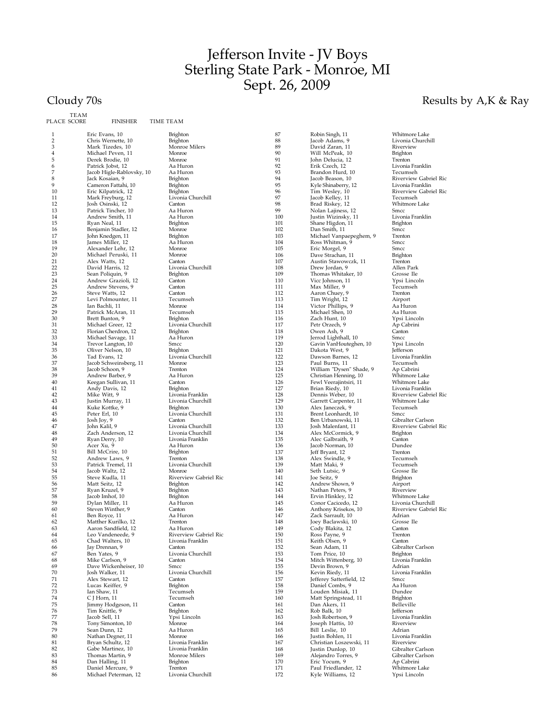## Jefferson Invite - JV Boys Sterling State Park - Monroe, MI Sept. 26, 2009

Cloudy 70s Results by A,K & Ray

| PLACE SCORE | TEAM | <b>FINISHER</b>                              | TIME TEAM |                                           |
|-------------|------|----------------------------------------------|-----------|-------------------------------------------|
| 1           |      | Eric Evans, 10                               |           | Brighton                                  |
| 2           |      | Chris Wernette, 10                           |           | Brighton                                  |
| 3           |      | Mark Tizedes, 10                             |           | Monroe Milers                             |
| 4           |      | Michael Peven, 11                            |           | Monroe                                    |
| 5<br>6      |      | Derek Brodie, 10                             |           | Monroe<br>Aa Huron                        |
| 7           |      | Patrick Jobst, 12                            |           | Aa Huron                                  |
| 8           |      | Jacob Higle-Rablovsky, 10<br>Jack Kosaian, 9 |           |                                           |
| 9           |      | Cameron Fattahi, 10                          |           | Brighton                                  |
| 10          |      |                                              |           | Brighton<br>Brighton                      |
| 11          |      | Eric Kilpatrick, 12<br>Mark Freyburg, 12     |           | Livonia Churchill                         |
| 12          |      | Josh Osinski, 12                             |           | Canton                                    |
| 13          |      | Patrick Tincher, 10                          |           | Aa Huron                                  |
| 14          |      | Andrew Smith, 11                             |           | Aa Huron                                  |
| 15          |      | Ryan Neal, 11                                |           | Brighton                                  |
| 16          |      | Benjamin Stadler, 12                         |           | Monroe                                    |
| 17          |      | John Knedgen, 11                             |           | Brighton                                  |
| 18          |      | James Miller, 12                             |           | Aa Huron                                  |
| 19          |      | Alexander Lehr, 12                           |           | Monroe                                    |
| 20          |      | Michael Peruski, 11                          |           | Monroe                                    |
| 21          |      | Alex Watts, 12                               |           | Canton                                    |
| 22          |      | David Harris, 12                             |           | Livonia Churchill                         |
| 23          |      | Sean Poliquin, 9                             |           | <b>Brighton</b>                           |
| 24          |      | Andrew Grazioli, 12                          |           | Canton                                    |
| 25          |      | Andrew Stevens, 9                            |           | Canton                                    |
| 26          |      | Steve Watts, 12                              |           | Canton                                    |
| 27          |      | Levi Polmounter, 11                          |           | Tecumseh                                  |
| 28<br>29    |      | Ian Bachli, 11                               |           | Monroe                                    |
| 30          |      | Patrick McAran, 11<br>Brett Bunton, 9        |           | Tecumseh                                  |
| 31          |      | Michael Greer, 12                            |           | Brighton<br>Livonia Churchill             |
| 32          |      | Florian Cherdron, 12                         |           | Brighton                                  |
| 33          |      | Michael Savage, 11                           |           | Aa Huron                                  |
| 34          |      | Trevor Langton, 10                           |           | Smcc                                      |
| 35          |      | Oliver Nelson, 10                            |           | Brighton                                  |
| 36          |      | Tad Evans, 12                                |           | Livonia Churchill                         |
| 37          |      | Jacob Schweinsberg, 11                       |           | Monroe                                    |
| 38          |      | Jacob Schoon, 9                              |           | Trenton                                   |
| 39          |      | Andrew Barber, 9                             |           | Aa Huron                                  |
| 40          |      | Keegan Sullivan, 11                          |           | Canton                                    |
| 41          |      | Andy Davis, 12                               |           | <b>Brighton</b>                           |
| 42          |      | Mike Witt, 9                                 |           | Livonia Franklin                          |
| 43          |      | Justin Murray, 11                            |           | Livonia Churchill                         |
| 44          |      | Kuke Kottke, 9                               |           | Brighton                                  |
| 45          |      | Peter Erl, 10                                |           | Livonia Churchill                         |
| 46<br>47    |      | Josh Joy, 9                                  |           | Canton                                    |
| 48          |      | John Kalil, 9<br>Zach Anderson, 12           |           | Livonia Churchill<br>Livonia Churchill    |
| 49          |      | Ryan Derry, 10                               |           | Livonia Franklin                          |
| 50          |      | Acer Xu, 9                                   |           | Aa Huron                                  |
| 51          |      | Bill McCrire, 10                             |           | Brighton                                  |
| 52          |      | Andrew Laws, 9                               |           | Trenton                                   |
| 53          |      | Patrick Tremel, 11                           |           | Livonia Churchill                         |
| 54          |      | Jacob Waltz, 12                              |           | Monroe                                    |
| 55          |      | Steve Kudla, 11                              |           | Riverview Gabriel Ric                     |
| 56          |      | Matt Seitz, 12                               |           | Brighton                                  |
| 57          |      | Ryan Kruzel, 9                               |           | Brighton                                  |
| 58          |      | Jacob Imhof, 10                              |           | <b>Brighton</b>                           |
| 59          |      | Dylan Miller, 11                             |           | Aa Huron                                  |
| 60          |      | Steven Winther, 9                            |           | Canton                                    |
| 61          |      | Ben Royce, 11                                |           | Aa Huron                                  |
| 62          |      | Matther Kurilko, 12                          |           | Trenton                                   |
| 63          |      | Aaron Sandfield, 12                          |           | Aa Huron                                  |
| 64          |      | Leo Vandeneede, 9                            |           | Riverview Gabriel Ric<br>Livonia Franklin |
| 65<br>66    |      | Chad Walters, 10                             |           | Canton                                    |
| 67          |      | Jay Drennan, 9<br>Ben Yates, 9               |           | Livonia Churchill                         |
| 68          |      | Mike Carlson, 9                              |           | Canton                                    |
| 69          |      | Dave Wickenheiser, 10                        |           | Smcc                                      |
| 70          |      | Josh Walker, 11                              |           | Livonia Churchill                         |
| 71          |      | Alex Stewart, 12                             |           | Canton                                    |
| 72          |      | Lucas Keiffer, 9                             |           | Brighton                                  |
| 73          |      | Ian Shaw, 11                                 |           | Tecumseh                                  |
| 74          |      | C J Horn, 11                                 |           | Tecumseh                                  |
| 75          |      | Jimmy Hodgeson, 11                           |           | Canton                                    |
| 76          |      | Tim Knittle, 9                               |           | Brighton                                  |
| 77          |      | Jacob Sell, 11                               |           | Ypsi Lincoln                              |
| 78          |      | Tony Simonton, 10                            |           | Monroe                                    |
| 79          |      | Sean Dunn, 12                                |           | Aa Huron                                  |
| 80          |      | Nathan Degner, 11                            |           | Monroe                                    |
| 81          |      | Bryan Schultz, 12                            |           | Livonia Franklin                          |
| 82          |      | Gabe Martinez, 10                            |           | Livonia Franklin                          |
| 83          |      | Thomas Martin, 9                             |           | Monroe Milers                             |
| 84          |      | Dan Halling, 11                              |           | <b>Brighton</b>                           |
| 85<br>86    |      | Daniel Mercure, 9<br>Michael Peterman, 12    |           | Trenton<br>Livonia Churchill              |
|             |      |                                              |           |                                           |

**Brighton** Brighton Monroe Milers Monroe<br>Monroe Aa Huron Aa Huron **Brighton Brighton** Brighton Enginon<br>Livonia Churchill Ervonna<br>Canton Aa Huron Aa Huron Brighton Monroe Brighton Aa Huron Monroe<br>Monroe Canton Livonia Churchill **Brighton** Canton<br>Canton Tecumseh Brighton Livonia Churchill Brighton Aa Huron<br>Smcc **Brighton** Livonia Churchill<br>Monroe Trenton Aa Huron<br>Canton Edition<br>Brighton Livonia Franklin Livonia Churchill **Brighton** Livonia Churchill Livonia Churchill Livonia Churchill Livonia Franklin Aa Huron Brighton Trenton Livonia Churchill **Brighton** Aa Huron<br>Canton Aa Huron Trenton Aa Huron Fundent<br>Riverview Gabriel Ric Livonia Franklin<br>Canton Livonia Churchill<br>Canton Livonia Churchill<br>Canton **Brighton** Tecumseh Tecumseh Canton Brighton Ypsi Lincoln Monroe Aa Huron Monroe Livonia Franklin Livonia Franklin Monroe Milers **Brighton** 

87 Robin Singh, 11 Whitmore Lake<br>88 Jacob Adams, 9 Livonia Churchill 88 Jacob Adams, 9 Livonia Churchill 89 David Zaran, 11 Riverview 90 Will McPeak, 10 Brighton<br>91 John Delucia, 12 Trenton 91 John Delucia, 12 Trenton 92 Erik Czech, 12 Livonia Franklin 93 Brandon Hurd, 10 Tecumseh<br>
94 Iacob Beason. 10 Riverview 94 Jacob Beason, 10 Riverview Gabriel Ric 95 Kyle Shinaberry, 12<br>
96 Tim Wesley, 10<br>
97 Iacob Kelley. 11 96 1987 - Tim Wesley, 10<br>
97 Jacob Kelley, 11 Jacob Kelley, 11 Tecumseh<br>
98 Brad Riskey, 12 Whitmore Lake 98 Brad Riskey, 12 Country, 12<br>
99 Nolan Lajiness, 12 Smcc<br>
100 Justin Wizinsky, 11 Livon 99 Nolan Lajiness, 12 Smcc 100 Justin Wizinsky, 11 Livonia Franklin 101 Shane Higdon, 11 Brighton<br>
102 Dan Smith, 11 Smcc<br>
103 Michael Vanpaepeghem, 9 Trenton 102 Dan Smith, 11 Smcc 103 Michael Vanpaepeghem, 9 Trenton 104 Ross Whitman, 9 Smcc 105 Eric Morgel, 9 Smcc 106 Dave Strachan, 11 Brighton 107 Austin Stawowczk, 11 Trenton<br>
108 Drew Jordan, 9 Allen Park<br>
109 Thomas Whitaker, 10 Grosse Ile 108 Drew Jordan, 9 Allen Park 109 Thomas Whitaker, 10 Grosse Ile 110 Vicc Johnson, 11 Ypsi Lincoln<br>
111 Max Miller. 9 Tecumseh 111 Max Miller, 9 Tecums<br>112 Aaron Chuey, 9 Trenton 112 Aaron Chuey, 9 Trenton<br>
113 Tim Wright, 12 Airport 113 Tim Wright, 12 Airport<br>
114 Victor Phillips 9 Aa Huron 114 Victor Phillips, 9 Aa Huron 115 Michael Shen, 10 Aa Huron 116 Zach Hunt, 10 Ypsi Lincoln<br>117 Petr Orzech, 9 Ap Cabrini 117 Petr Orzech, 9 Ap Cabrini 118 Owen Ash, 9 Canton 119 Jerrod Lighthall, 10 Smcc<br>
120 Gavin VanHouteghen, 10 Ypsi Lincoln<br>
121 Dakota West, 9 Jefferson 120 Gavin VanHouteghen, 10<br>121 Dakota West, 9 121 Dakota West, 9<br>121 Dakota West, 9<br>122 Dawson Barnes, 12 Livonia Franklin 122 Dawson Barnes, 12 Livonia Franklin<br>123 Paul Burns 11 Tecumseh 123 Paul Burns, 11 Tecumseh<br>124 William "Dysen" Shade, 9 Ap Cabrini 124 William "Dysen" Shade, 9 Ap Cabrini<br>125 Christian Henning, 10 Whitmore Lake 125 Christian Henning, 10 Whitmore Lake<br>126 Fewl Veeraiintsiri. 11 Whitmore Lake 126 Fewl Veerajintsiri, 11 Whitmore Lake<br>127 Brian Riedy, 10 Livonia Franklin 127 Brian Riedy, 10<br>
128 Dennis Weber, 10<br>
129 Garrett Carpenter, 129 Garrett Carpenter, 11 Whitmore<br>130 Alex Janeczek, 9 Tecumseh 130 Alex Janeczek, 9 Tecum<br>131 Brent Leonhardt, 10 Smcc 131 Brent Leonhardt, 10<br>132 Ben Urbanowski, 11 132 Ben Urbanowski, 11 Gibralter Carlson<br>133 Josh Malenfant, 11 Riverview Gabrie 133 Josh Malenfant, 11 Riverview Gabriel Ric<br>134 Alex McCormick, 9 Brighton<br>135 Alec Galbraith, 9 Canton 134 Alex McCormick, 9 Brighton 135 Alec Galbraith, 9 Canton 136 Jacob Norman, 10 Dundee<br>137 Jeff Bryant, 12 Trenton<br>138 Alex Swindle, 9 Tecums 137 Jeff Bryant, 12 Trenton 138 Alex Swindle, 9 Tecumseh 139 Matt Maki, 9<br>140 Seth Lutsic, 9<br>141 Joe Seitz, 9 Brighton 140 Seth Lutsic, 9<br>141 Joe Seitz, 9 141 Joe Seitz, 9 Brighton<br>142 Andrew Shown, 9 Airport 142 Andrew Shown, 9 Airport<br>
143 Nathan Peters, 9 Riverview<br>
144 Ervin Hinkley, 12 Whitmore Lake 143 Nathan Peters, 9<br>144 Ervin Hinkley, 12 144 Ervin Hinkley, 12 Whitmore Lake<br>145 Conor Cacicedo. 12 Iivonia Churchill 145 Conor Cacicedo, 12 Livonia Churchill 146 Anthony Krisekos, 10 Riverview Gabriel Ric 147 Zack Sarrault, 10 Adrian 148 Joey Baclawski, 10 Grosse Ile 149 Cody Blakita, 12 Canton 150 Ross Payne, 9 Trenton<br>151 Reith Olsen 9 Canton 151 Keith Olsen, 9<br>152 Sean Adam. 11 152 Sean Adam, 11 Gibralter Carlson<br>153 Tom Price, 10 Brighton 153 Tom Price, 10 Brighton<br>154 Mitch Wittenberg, 10 Livonia Franklin 154 Mitch Wittenberg, 10 Livonia<br>155 Devin Brown, 9 Adrian 155 Devin Brown, 9 Devin Brown, 9 Adrian<br>156 Kevin Riedy, 11 Livonia Franklin 156 Kevin Riedy, 11 Livon<br>157 Lefferey Satterfield 12 Smcc 157 Jefferey Satterfield, 12 Smcc 158 Daniel Combs, 9 Aa Huron 159 Louden Misiak, 11 Dundee<br>160 Matt Springstead, 11 Brighton 160 Matt Springstead, 11 Brighton<br>161 Dan Akers, 11 Belleville 161 Dan Akers, 11 Bellevill<br>162 Rob Balk, 10 Jefferson 162 Rob Balk, 10 Jefferson<br>163 Iosh Robertson. 9 Iivonia Franklin 163 Josh Robertson, 9 Livonia Franklin<br>164 Joseph Hattis, 10 Riverview 164 Joseph Hattis, 10 Riverview<br>
165 Bill Leslie, 10 Adrian<br>
166 Justin Bohlen, 11 Livonia Franklin 165 Bill Leslie, 10 Adrian 166 Justin Bohlen, 11 Livonia Franklin 167 Christian Loszewski, 11 Riverview<br>
168 Justin Dunlop, 10 Gibralter Carlson<br>
169 Alejandro Torres, 9 Gibralter Carlson Justin Dunlop, 10 (Gibralter Carlson)<br>Alejandro Torres, 9 (Gibralter Carlson) 169 Alejandro Torres, 9 Gibralter Ca<br>170 Eric Yocum, 9 Ap Cabrini 170 Eric Yocum, 9 Ap Cabrini<br>171 Paul Friedlander, 12 Whitmore Lake 171 Paul Friedlander, 12 Mhitmore Lake<br>172 Kyle Williams, 12 Ypsi Lincoln Kyle Williams, 12

Riverview Gabriel Ric<br>Tecumseh Riverview Gabriel Ric<br>Whitmore Lake